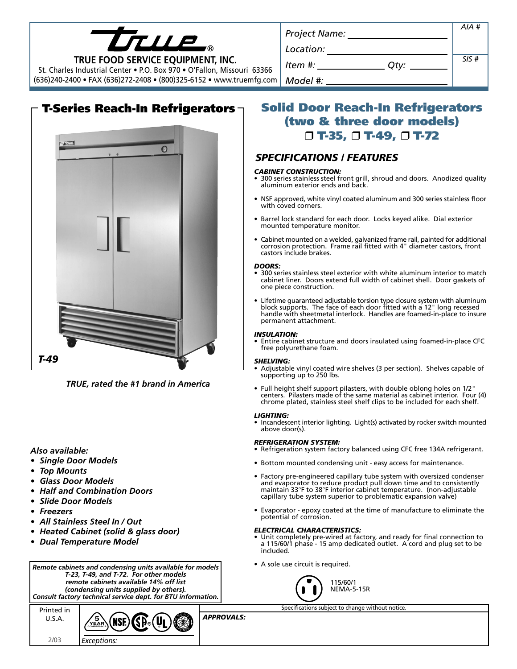| LTLLE.                                                                                                       | <b>Project Name:</b> | AIA# |
|--------------------------------------------------------------------------------------------------------------|----------------------|------|
| TRUE FOOD SERVICE EQUIPMENT, INC.<br>St. Charles Industrial Center • P.O. Box 970 • O'Fallon, Missouri 63366 | Location:            |      |
|                                                                                                              | ltem #:<br>Otv:      | SIS# |
| (636)240-2400 • FAX (636)272-2408 • (800)325-6152 • www.truemfg.com                                          | Model #:             |      |
|                                                                                                              |                      |      |



*TRUE, rated the #1 brand in America*

# *Also available:*

- *Single Door Models*
- *Top Mounts*
- *Glass Door Models*
- *Half and Combination Doors*
- *Slide Door Models*
- *Freezers*
- *All Stainless Steel In / Out*
- *Heated Cabinet (solid & glass door)*
- *Dual Temperature Model*





# **Solid Door Reach-In Refrigerators (two & three door models)** ❒ **T-35,** ❒ **T-49,** ❒ **T-72**

# *SPECIFICATIONS / FEATURES*

#### *CABINET CONSTRUCTION:*

- 300 series stainless steel front grill, shroud and doors. Anodized quality aluminum exterior ends and back.
- NSF approved, white vinyl coated aluminum and 300 series stainless floor with coved corners.
- Barrel lock standard for each door. Locks keyed alike. Dial exterior mounted temperature monitor.
- Cabinet mounted on a welded, galvanized frame rail, painted for additional corrosion protection. Frame rail fitted with 4" diameter castors, front castors include brakes.

#### *DOORS:*

- 300 series stainless steel exterior with white aluminum interior to match cabinet liner. Doors extend full width of cabinet shell. Door gaskets of one piece construction.
- Lifetime guaranteed adjustable torsion type closure system with aluminum block supports. The face of each door fitted with a 12" long recessed handle with sheetmetal interlock. Handles are foamed-in-place to insure permanent attachment.

#### *INSULATION:*

• Entire cabinet structure and doors insulated using foamed-in-place CFC free polyurethane foam.

#### *SHELVING:*

- Adjustable vinyl coated wire shelves (3 per section). Shelves capable of supporting up to 250 lbs.
- Full height shelf support pilasters, with double oblong holes on 1/2" centers. Pilasters made of the same material as cabinet interior. Four (4) chrome plated, stainless steel shelf clips to be included for each shelf.

#### *LIGHTING:*

• Incandescent interior lighting. Light(s) activated by rocker switch mounted above door(s).

#### *REFRIGERATION SYSTEM:*

- Refrigeration system factory balanced using CFC free 134A refrigerant.
- Bottom mounted condensing unit easy access for maintenance.
- Factory pre-engineered capillary tube system with oversized condenser and evaporator to reduce product pull down time and to consistently maintain 33°F to 38°F interior cabinet temperature. (non-adjustable capillary tube system superior to problematic expansion valve)
- Evaporator epoxy coated at the time of manufacture to eliminate the potential of corrosion.

## *ELECTRICAL CHARACTERISTICS:*

- Unit completely pre-wired at factory, and ready for final connection to a 115/60/1 phase - 15 amp dedicated outlet. A cord and plug set to be included.
- A sole use circuit is required.



Specifications subject to change without notice.